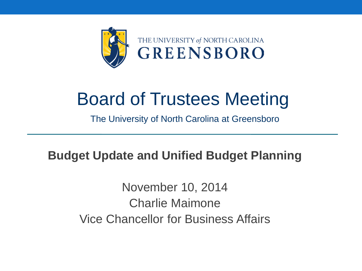

#### Board of Trustees Meeting

The University of North Carolina at Greensboro

#### **Budget Update and Unified Budget Planning**

November 10, 2014 Charlie Maimone Vice Chancellor for Business Affairs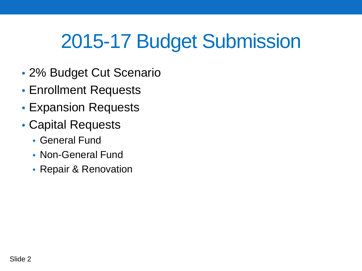# 2015-17 Budget Submission

- 2% Budget Cut Scenario
- Enrollment Requests
- Expansion Requests
- Capital Requests
	- General Fund
	- Non-General Fund
	- Repair & Renovation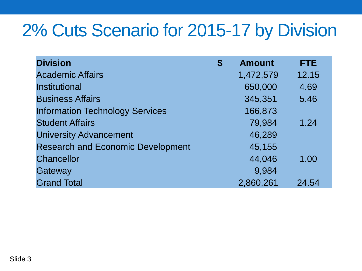#### 2% Cuts Scenario for 2015-17 by Division

| <b>Division</b>                          | <b>Amount</b><br>\$ | <b>FTE</b> |
|------------------------------------------|---------------------|------------|
| <b>Academic Affairs</b>                  | 1,472,579           | 12.15      |
| <b>Institutional</b>                     | 650,000             | 4.69       |
| <b>Business Affairs</b>                  | 345,351             | 5.46       |
| <b>Information Technology Services</b>   | 166,873             |            |
| <b>Student Affairs</b>                   | 79,984              | 1.24       |
| <b>University Advancement</b>            | 46,289              |            |
| <b>Research and Economic Development</b> | 45,155              |            |
| <b>Chancellor</b>                        | 44,046              | 1.00       |
| Gateway                                  | 9,984               |            |
| <b>Grand Total</b>                       | 2,860,261           | 24.54      |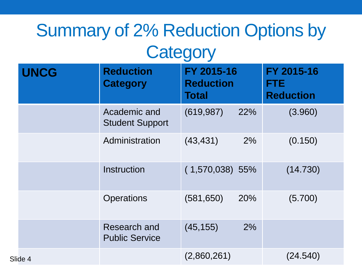# Summary of 2% Reduction Options by

#### **Category**

| <b>UNCG</b> | <b>Reduction</b><br><b>Category</b>    | FY 2015-16<br><b>Reduction</b><br><b>Total</b> | FY 2015-16<br><b>FTE</b><br><b>Reduction</b> |
|-------------|----------------------------------------|------------------------------------------------|----------------------------------------------|
|             | Academic and<br><b>Student Support</b> | (619, 987)<br>22%                              | (3.960)                                      |
|             | Administration                         | (43, 431)<br>2%                                | (0.150)                                      |
|             | <b>Instruction</b>                     | $(1,570,038)$ 55%                              | (14.730)                                     |
|             | <b>Operations</b>                      | (581, 650)<br>20%                              | (5.700)                                      |
|             | Research and<br><b>Public Service</b>  | (45, 155)<br>2%                                |                                              |
| Slide 4     |                                        | (2,860,261)                                    | (24.540)                                     |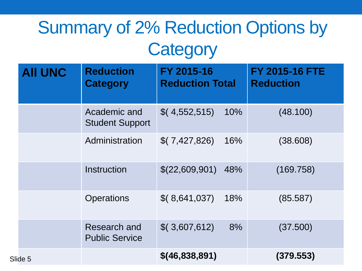### Summary of 2% Reduction Options by **Category**

| <b>AII UNC</b> | <b>Reduction</b><br><b>Category</b>    | FY 2015-16<br><b>Reduction Total</b> |     | <b>FY 2015-16 FTE</b><br><b>Reduction</b> |
|----------------|----------------------------------------|--------------------------------------|-----|-------------------------------------------|
|                | Academic and<br><b>Student Support</b> | \$(4,552,515)                        | 10% | (48.100)                                  |
|                | Administration                         | \$(7,427,826)                        | 16% | (38.608)                                  |
|                | Instruction                            | \$(22,609,901)                       | 48% | (169.758)                                 |
|                | <b>Operations</b>                      | \$(8,641,037)                        | 18% | (85.587)                                  |
|                | Research and<br><b>Public Service</b>  | \$(3,607,612)                        | 8%  | (37.500)                                  |
| Slide 5        |                                        | $$$ (46,838,891)                     |     | (379.553)                                 |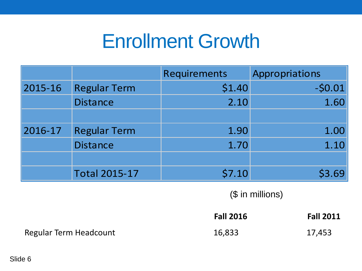## Enrollment Growth

|         |                      | Requirements | Appropriations |
|---------|----------------------|--------------|----------------|
| 2015-16 | <b>Regular Term</b>  | \$1.40       | $-50.01$       |
|         | <b>Distance</b>      | 2.10         | 1.60           |
|         |                      |              |                |
| 2016-17 | <b>Regular Term</b>  | 1.90         | 1.00           |
|         | <b>Distance</b>      | 1.70         | 1.10           |
|         |                      |              |                |
|         | <b>Total 2015-17</b> | \$7.10       | \$3.69         |

(\$ in millions)

|                        | <b>Fall 2016</b> | <b>Fall 2011</b> |
|------------------------|------------------|------------------|
| Regular Term Headcount | 16,833           | 17,453           |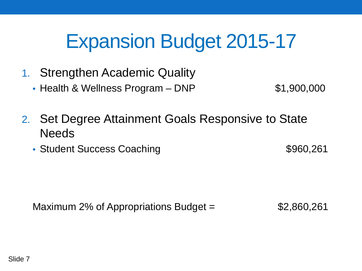## Expansion Budget 2015-17

- 1. Strengthen Academic Quality
	- Health & Wellness Program DNP  $$1,900,000$

- 2. Set Degree Attainment Goals Responsive to State **Needs** 
	- Student Success Coaching **\$960,261**

Maximum 2% of Appropriations Budget  $=$  \$2,860,261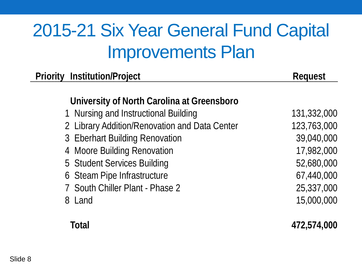### 2015-21 Six Year General Fund Capital Improvements Plan

| <b>Priority Institution/Project</b>           | <b>Request</b> |
|-----------------------------------------------|----------------|
| University of North Carolina at Greensboro    |                |
| 1 Nursing and Instructional Building          | 131,332,000    |
| 2 Library Addition/Renovation and Data Center | 123,763,000    |
| 3 Eberhart Building Renovation                | 39,040,000     |
| 4 Moore Building Renovation                   | 17,982,000     |
| 5 Student Services Building                   | 52,680,000     |
| 6 Steam Pipe Infrastructure                   | 67,440,000     |
| 7 South Chiller Plant - Phase 2               | 25,337,000     |
| 8 Land                                        | 15,000,000     |
| Total                                         | 472,574,000    |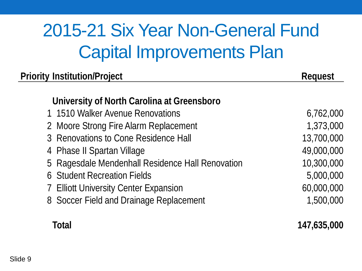## 2015-21 Six Year Non-General Fund Capital Improvements Plan

| <b>Priority Institution/Project</b><br><b>Request</b><br>University of North Carolina at Greensboro<br>1 1510 Walker Avenue Renovations<br>2 Moore Strong Fire Alarm Replacement<br>3 Renovations to Cone Residence Hall<br>4 Phase II Spartan Village<br>5 Ragesdale Mendenhall Residence Hall Renovation<br>6 Student Recreation Fields<br>7 Elliott University Center Expansion<br>8 Soccer Field and Drainage Replacement |               |
|-------------------------------------------------------------------------------------------------------------------------------------------------------------------------------------------------------------------------------------------------------------------------------------------------------------------------------------------------------------------------------------------------------------------------------|---------------|
|                                                                                                                                                                                                                                                                                                                                                                                                                               |               |
|                                                                                                                                                                                                                                                                                                                                                                                                                               | 6,762,000     |
|                                                                                                                                                                                                                                                                                                                                                                                                                               | 1,373,000     |
|                                                                                                                                                                                                                                                                                                                                                                                                                               | 13,700,000    |
|                                                                                                                                                                                                                                                                                                                                                                                                                               | 49,000,000    |
|                                                                                                                                                                                                                                                                                                                                                                                                                               | 10,300,000    |
|                                                                                                                                                                                                                                                                                                                                                                                                                               | 5,000,000     |
|                                                                                                                                                                                                                                                                                                                                                                                                                               | 60,000,000    |
|                                                                                                                                                                                                                                                                                                                                                                                                                               | 1,500,000     |
| T - 1 - 1                                                                                                                                                                                                                                                                                                                                                                                                                     | 1 17 I AF AAA |

**Total 147,635,000**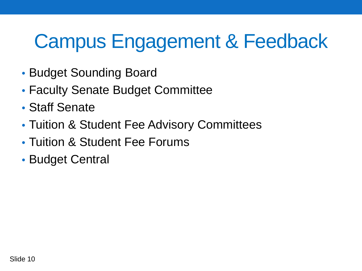# Campus Engagement & Feedback

- Budget Sounding Board
- Faculty Senate Budget Committee
- Staff Senate
- Tuition & Student Fee Advisory Committees
- Tuition & Student Fee Forums
- Budget Central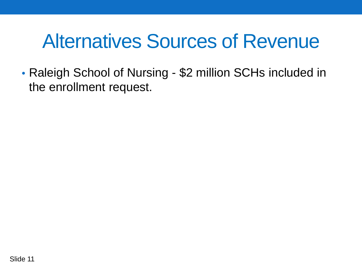## Alternatives Sources of Revenue

• Raleigh School of Nursing - \$2 million SCHs included in the enrollment request.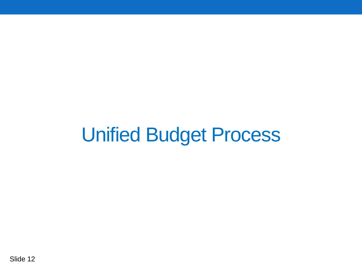## Unified Budget Process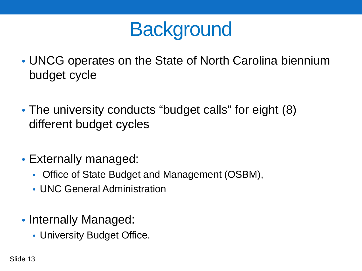## **Background**

- UNCG operates on the State of North Carolina biennium budget cycle
- The university conducts "budget calls" for eight (8) different budget cycles
- Externally managed:
	- Office of State Budget and Management (OSBM),
	- UNC General Administration
- Internally Managed:
	- University Budget Office.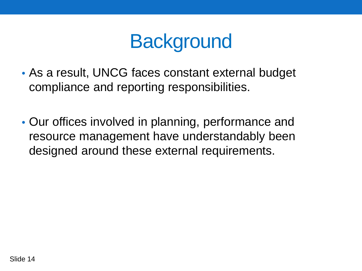## **Background**

- As a result, UNCG faces constant external budget compliance and reporting responsibilities.
- Our offices involved in planning, performance and resource management have understandably been designed around these external requirements.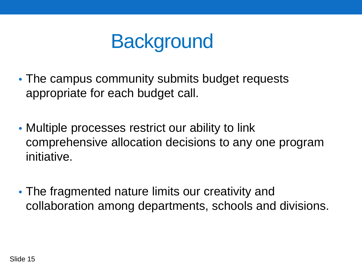

- The campus community submits budget requests appropriate for each budget call.
- Multiple processes restrict our ability to link comprehensive allocation decisions to any one program initiative.
- The fragmented nature limits our creativity and collaboration among departments, schools and divisions.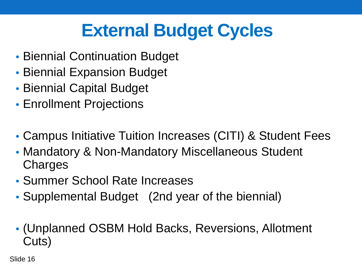### **External Budget Cycles**

- Biennial Continuation Budget
- Biennial Expansion Budget
- Biennial Capital Budget
- Enrollment Projections
- Campus Initiative Tuition Increases (CITI) & Student Fees
- Mandatory & Non-Mandatory Miscellaneous Student **Charges**
- Summer School Rate Increases
- Supplemental Budget (2nd year of the biennial)
- (Unplanned OSBM Hold Backs, Reversions, Allotment Cuts)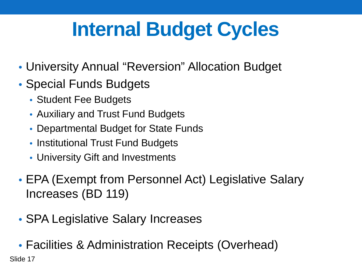# **Internal Budget Cycles**

- University Annual "Reversion" Allocation Budget
- Special Funds Budgets
	- Student Fee Budgets
	- Auxiliary and Trust Fund Budgets
	- Departmental Budget for State Funds
	- Institutional Trust Fund Budgets
	- University Gift and Investments
- EPA (Exempt from Personnel Act) Legislative Salary Increases (BD 119)
- SPA Legislative Salary Increases
- Facilities & Administration Receipts (Overhead)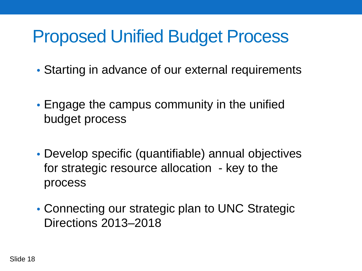#### Proposed Unified Budget Process

- Starting in advance of our external requirements
- Engage the campus community in the unified budget process
- Develop specific (quantifiable) annual objectives for strategic resource allocation - key to the process
- Connecting our strategic plan to UNC Strategic Directions 2013–2018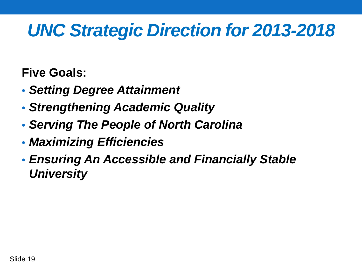#### *UNC Strategic Direction for 2013-2018*

**Five Goals:**

- *Setting Degree Attainment*
- *Strengthening Academic Quality*
- *Serving The People of North Carolina*
- *Maximizing Efficiencies*
- *Ensuring An Accessible and Financially Stable University*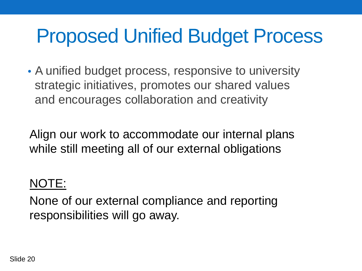## Proposed Unified Budget Process

• A unified budget process, responsive to university strategic initiatives, promotes our shared values and encourages collaboration and creativity

Align our work to accommodate our internal plans while still meeting all of our external obligations

#### NOTE:

None of our external compliance and reporting responsibilities will go away.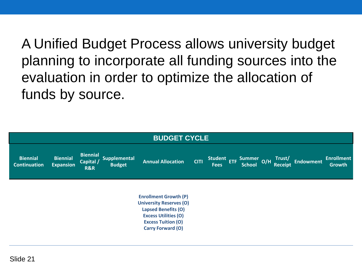A Unified Budget Process allows university budget planning to incorporate all funding sources into the evaluation in order to optimize the allocation of funds by source.

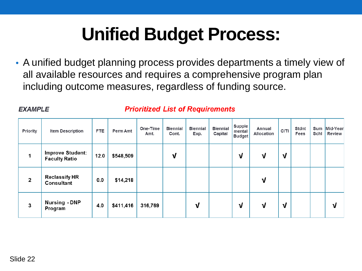## **Unified Budget Process:**

• A unified budget planning process provides departments a timely view of all available resources and requires a comprehensive program plan including outcome measures, regardless of funding source.

#### **EXAMPLE**

#### **Prioritized List of Requirements**

| <b>Priority</b> | Item Description                                | <b>FTE</b> | Perm Amt  | One-Time<br>Amt. | <b>Biennial</b><br>Cont. | <b>Biennial</b><br>Exp. | <b>Biennial</b><br>Capital | <b>Supple</b><br>mental<br><b>Budget</b> | Annual<br><b>Allocation</b> | <b>CITI</b> | <b>Stdnt</b><br>Fees | Sum<br>Schl | Mid-Year<br>Review |
|-----------------|-------------------------------------------------|------------|-----------|------------------|--------------------------|-------------------------|----------------------------|------------------------------------------|-----------------------------|-------------|----------------------|-------------|--------------------|
| 1               | <b>Improve Student:</b><br><b>Faculty Ratio</b> | 12.0       | \$548,509 |                  | ν                        |                         |                            | ν                                        | ν                           | ν           |                      |             |                    |
| $\overline{2}$  | <b>Reclassify HR</b><br>Consultant              | 0.0        | \$14,218  |                  |                          |                         |                            |                                          | ν                           |             |                      |             |                    |
| 3               | <b>Nursing - DNP</b><br>Program                 | 4.0        | \$411,416 | 316,769          |                          | ν                       |                            | ν                                        | V                           | ν           |                      |             | ν                  |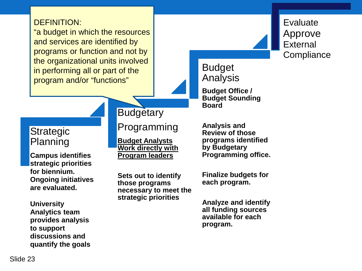#### DEFINITION:

"a budget in which the resources and services are identified by programs or function and not by the organizational units involved in performing all or part of the program and/or "functions"

#### **Strategic** Planning

**Campus identifies strategic priorities for biennium. Ongoing initiatives are evaluated.**

**University Analytics team provides analysis to support discussions and quantify the goals**

#### **Budgetary**

Programming

**Budget Analysts Work directly with Program leaders**

**Sets out to identify those programs necessary to meet the strategic priorities**

Evaluate Approve **External Compliance** 

Budget Analysis

**Budget Office / Budget Sounding Board**

**Analysis and Review of those programs identified by Budgetary Programming office.**

**Finalize budgets for each program.**

**Analyze and identify all funding sources available for each program.**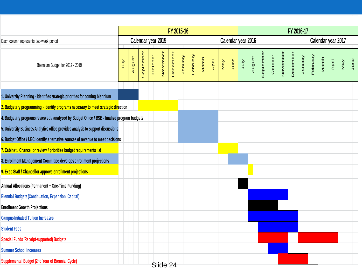|                                                                                             | FY 2015-16 |                    |           |         |          |          |                    |          | FY 2016-17 |       |     |      |             |        |           |         |          |          |          |          |                    |       |     |      |  |  |
|---------------------------------------------------------------------------------------------|------------|--------------------|-----------|---------|----------|----------|--------------------|----------|------------|-------|-----|------|-------------|--------|-----------|---------|----------|----------|----------|----------|--------------------|-------|-----|------|--|--|
| Each column represents two-week period                                                      |            | Calendar year 2015 |           |         |          |          | Calendar year 2016 |          |            |       |     |      |             |        |           |         |          |          |          |          | Calendar year 2017 |       |     |      |  |  |
| Biennium Budget for 2017 - 2019                                                             | VInn       | August             | September | October | November | December | Vienual            | February | March      | April | Vey | June | <b>AInr</b> | August | September | October | November | December | Vienuary | February | March              | April | Vey | June |  |  |
| 1. University Planning - identifies strategic priorities for coming biennium                |            |                    |           |         |          |          |                    |          |            |       |     |      |             |        |           |         |          |          |          |          |                    |       |     |      |  |  |
| 2. Budgetary programming - identify programs necessary to meet strategic direction          |            |                    |           |         |          |          |                    |          |            |       |     |      |             |        |           |         |          |          |          |          |                    |       |     |      |  |  |
| 4. Budgetary programs reviewed / analyzed by Budget Office / BSB - finalize program budgets |            |                    |           |         |          |          |                    |          |            |       |     |      |             |        |           |         |          |          |          |          |                    |       |     |      |  |  |
| 5. University Business Analytics office provides analysis to support discussions            |            |                    |           |         |          |          |                    |          |            |       |     |      |             |        |           |         |          |          |          |          |                    |       |     |      |  |  |
| 6. Budget Office / UBC identify alternative sources of revenue to meet decisions            |            |                    |           |         |          |          |                    |          |            |       |     |      |             |        |           |         |          |          |          |          |                    |       |     |      |  |  |
| 7. Cabinet / Chancellor review / prioritize budget requirements list                        |            |                    |           |         |          |          |                    |          |            |       |     |      |             |        |           |         |          |          |          |          |                    |       |     |      |  |  |
| 8. Enrollment Management Committee develops enrollment projections                          |            |                    |           |         |          |          |                    |          |            |       |     |      |             |        |           |         |          |          |          |          |                    |       |     |      |  |  |
| 9. Exec Staff / Chancellor approve enrollment projections                                   |            |                    |           |         |          |          |                    |          |            |       |     |      |             |        |           |         |          |          |          |          |                    |       |     |      |  |  |
| Annual Allocations (Permanent + One-Time Funding)                                           |            |                    |           |         |          |          |                    |          |            |       |     |      |             |        |           |         |          |          |          |          |                    |       |     |      |  |  |
| <b>Biennial Budgets (Continuation, Expansion, Capital)</b>                                  |            |                    |           |         |          |          |                    |          |            |       |     |      |             |        |           |         |          |          |          |          |                    |       |     |      |  |  |
| <b>Enrollment Growth Projections</b>                                                        |            |                    |           |         |          |          |                    |          |            |       |     |      |             |        |           |         |          |          |          |          |                    |       |     |      |  |  |
| <b>Campus-Initiated Tuition Increases</b>                                                   |            |                    |           |         |          |          |                    |          |            |       |     |      |             |        |           |         |          |          |          |          |                    |       |     |      |  |  |
| <b>Student Fees</b>                                                                         |            |                    |           |         |          |          |                    |          |            |       |     |      |             |        |           |         |          |          |          |          |                    |       |     |      |  |  |
| <b>Special Funds (Receipt-supported) Budgets</b>                                            |            |                    |           |         |          |          |                    |          |            |       |     |      |             |        |           |         |          |          |          |          |                    |       |     |      |  |  |
| <b>Summer School Increases</b>                                                              |            |                    |           |         |          |          |                    |          |            |       |     |      |             |        |           |         |          |          |          |          |                    |       |     |      |  |  |
| Supplemental Budget (2nd Year of Biennial Cycle)                                            |            |                    |           |         | Slide 24 |          |                    |          |            |       |     |      |             |        |           |         |          |          |          |          |                    |       |     |      |  |  |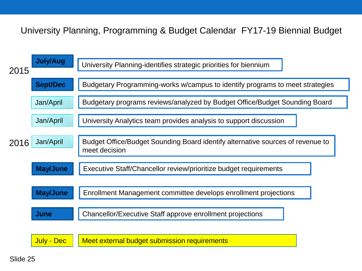#### University Planning, Programming & Budget Calendar FY17-19 Biennial Budget



Slide 25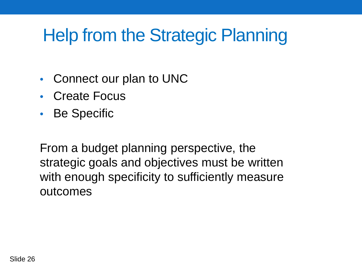### Help from the Strategic Planning

- Connect our plan to UNC
- Create Focus
- Be Specific

From a budget planning perspective, the strategic goals and objectives must be written with enough specificity to sufficiently measure outcomes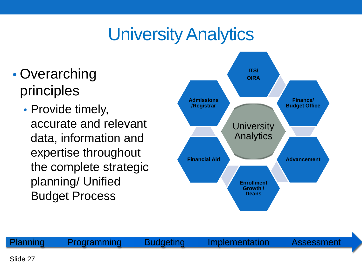### University Analytics

- Overarching principles
	- Provide timely, accurate and relevant data, information and expertise throughout the complete strategic planning/ Unified Budget Process



Planning Programming Budgeting Implementation Assessment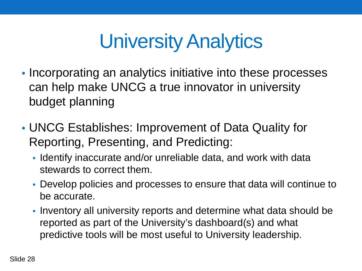# University Analytics

- Incorporating an analytics initiative into these processes can help make UNCG a true innovator in university budget planning
- UNCG Establishes: Improvement of Data Quality for Reporting, Presenting, and Predicting:
	- Identify inaccurate and/or unreliable data, and work with data stewards to correct them.
	- Develop policies and processes to ensure that data will continue to be accurate.
	- Inventory all university reports and determine what data should be reported as part of the University's dashboard(s) and what predictive tools will be most useful to University leadership.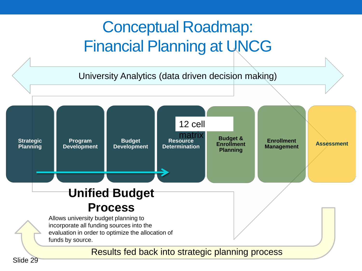#### Conceptual Roadmap: Financial Planning at UNCG

University Analytics (data driven decision making)



Slide 29